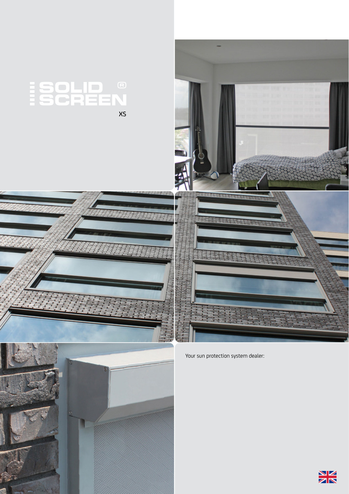







Your sun protection system dealer: